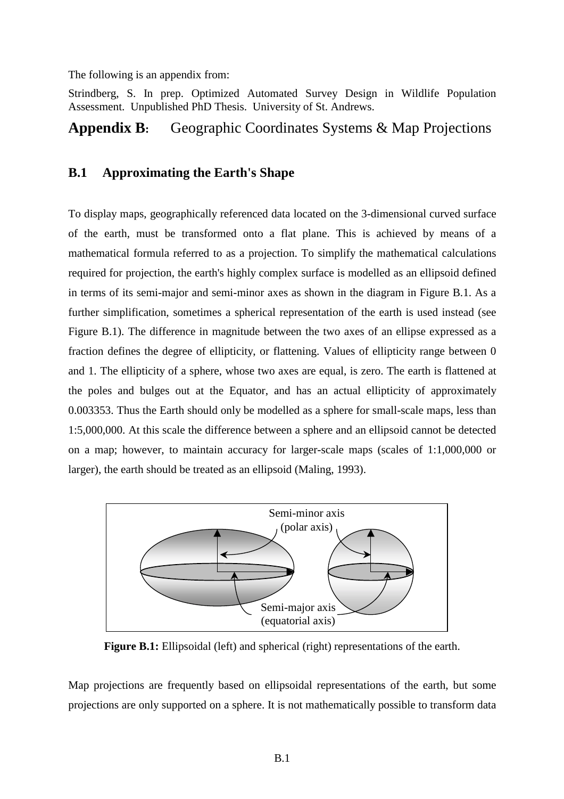The following is an appendix from:

Strindberg, S. In prep. Optimized Automated Survey Design in Wildlife Population Assessment. Unpublished PhD Thesis. University of St. Andrews.

# **Appendix B:** Geographic Coordinates Systems & Map Projections

# **B.1 Approximating the Earth's Shape**

To display maps, geographically referenced data located on the 3-dimensional curved surface of the earth, must be transformed onto a flat plane. This is achieved by means of a mathematical formula referred to as a projection. To simplify the mathematical calculations required for projection, the earth's highly complex surface is modelled as an ellipsoid defined in terms of its semi-major and semi-minor axes as shown in the diagram in Figure B.1. As a further simplification, sometimes a spherical representation of the earth is used instead (see Figure B.1). The difference in magnitude between the two axes of an ellipse expressed as a fraction defines the degree of ellipticity, or flattening. Values of ellipticity range between 0 and 1. The ellipticity of a sphere, whose two axes are equal, is zero. The earth is flattened at the poles and bulges out at the Equator, and has an actual ellipticity of approximately 0.003353. Thus the Earth should only be modelled as a sphere for small-scale maps, less than 1:5,000,000. At this scale the difference between a sphere and an ellipsoid cannot be detected on a map; however, to maintain accuracy for larger-scale maps (scales of 1:1,000,000 or larger), the earth should be treated as an ellipsoid (Maling, 1993).



**Figure B.1:** Ellipsoidal (left) and spherical (right) representations of the earth.

Map projections are frequently based on ellipsoidal representations of the earth, but some projections are only supported on a sphere. It is not mathematically possible to transform data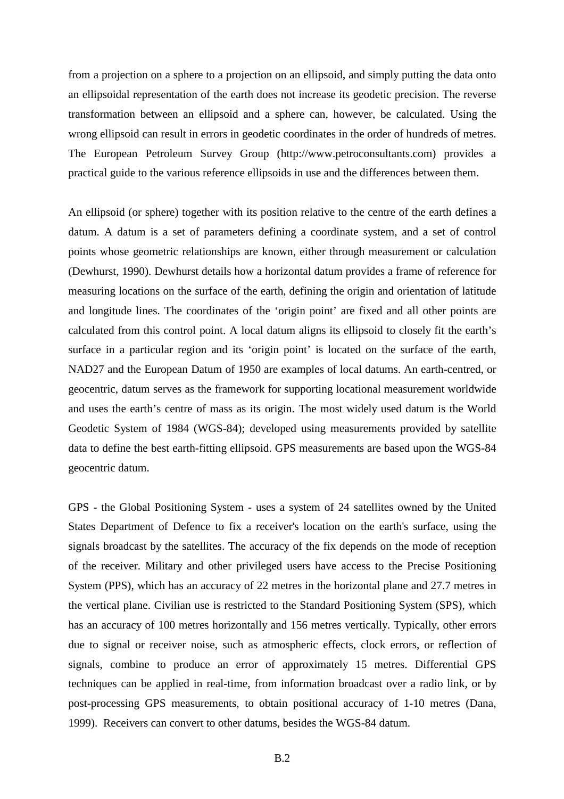from a projection on a sphere to a projection on an ellipsoid, and simply putting the data onto an ellipsoidal representation of the earth does not increase its geodetic precision. The reverse transformation between an ellipsoid and a sphere can, however, be calculated. Using the wrong ellipsoid can result in errors in geodetic coordinates in the order of hundreds of metres. The European Petroleum Survey Group (http://www.petroconsultants.com) provides a practical guide to the various reference ellipsoids in use and the differences between them.

An ellipsoid (or sphere) together with its position relative to the centre of the earth defines a datum. A datum is a set of parameters defining a coordinate system, and a set of control points whose geometric relationships are known, either through measurement or calculation (Dewhurst, 1990). Dewhurst details how a horizontal datum provides a frame of reference for measuring locations on the surface of the earth, defining the origin and orientation of latitude and longitude lines. The coordinates of the 'origin point' are fixed and all other points are calculated from this control point. A local datum aligns its ellipsoid to closely fit the earth's surface in a particular region and its 'origin point' is located on the surface of the earth, NAD27 and the European Datum of 1950 are examples of local datums. An earth-centred, or geocentric, datum serves as the framework for supporting locational measurement worldwide and uses the earth's centre of mass as its origin. The most widely used datum is the World Geodetic System of 1984 (WGS-84); developed using measurements provided by satellite data to define the best earth-fitting ellipsoid. GPS measurements are based upon the WGS-84 geocentric datum.

GPS - the Global Positioning System - uses a system of 24 satellites owned by the United States Department of Defence to fix a receiver's location on the earth's surface, using the signals broadcast by the satellites. The accuracy of the fix depends on the mode of reception of the receiver. Military and other privileged users have access to the Precise Positioning System (PPS), which has an accuracy of 22 metres in the horizontal plane and 27.7 metres in the vertical plane. Civilian use is restricted to the Standard Positioning System (SPS), which has an accuracy of 100 metres horizontally and 156 metres vertically. Typically, other errors due to signal or receiver noise, such as atmospheric effects, clock errors, or reflection of signals, combine to produce an error of approximately 15 metres. Differential GPS techniques can be applied in real-time, from information broadcast over a radio link, or by post-processing GPS measurements, to obtain positional accuracy of 1-10 metres (Dana, 1999). Receivers can convert to other datums, besides the WGS-84 datum.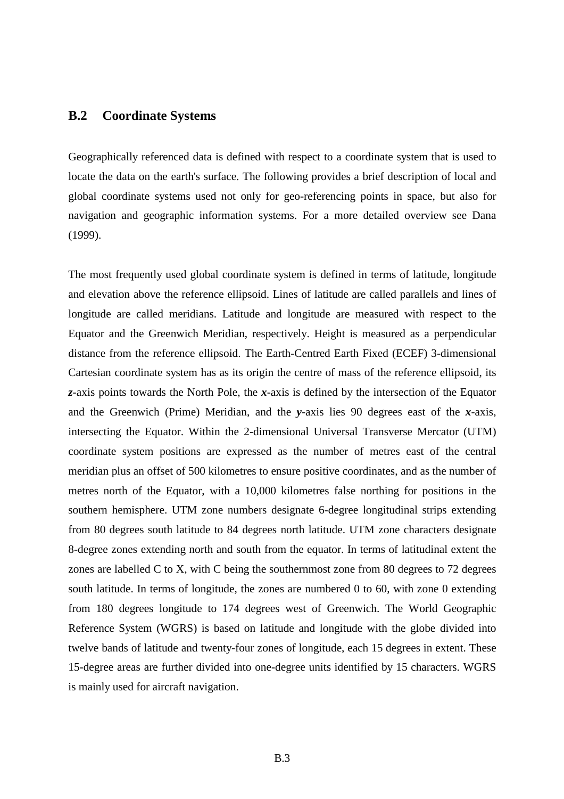## **B.2 Coordinate Systems**

Geographically referenced data is defined with respect to a coordinate system that is used to locate the data on the earth's surface. The following provides a brief description of local and global coordinate systems used not only for geo-referencing points in space, but also for navigation and geographic information systems. For a more detailed overview see Dana (1999).

The most frequently used global coordinate system is defined in terms of latitude, longitude and elevation above the reference ellipsoid. Lines of latitude are called parallels and lines of longitude are called meridians. Latitude and longitude are measured with respect to the Equator and the Greenwich Meridian, respectively. Height is measured as a perpendicular distance from the reference ellipsoid. The Earth-Centred Earth Fixed (ECEF) 3-dimensional Cartesian coordinate system has as its origin the centre of mass of the reference ellipsoid, its *z*-axis points towards the North Pole, the *x*-axis is defined by the intersection of the Equator and the Greenwich (Prime) Meridian, and the *y*-axis lies 90 degrees east of the *x*-axis, intersecting the Equator. Within the 2-dimensional Universal Transverse Mercator (UTM) coordinate system positions are expressed as the number of metres east of the central meridian plus an offset of 500 kilometres to ensure positive coordinates, and as the number of metres north of the Equator, with a 10,000 kilometres false northing for positions in the southern hemisphere. UTM zone numbers designate 6-degree longitudinal strips extending from 80 degrees south latitude to 84 degrees north latitude. UTM zone characters designate 8-degree zones extending north and south from the equator. In terms of latitudinal extent the zones are labelled C to X, with C being the southernmost zone from 80 degrees to 72 degrees south latitude. In terms of longitude, the zones are numbered 0 to 60, with zone 0 extending from 180 degrees longitude to 174 degrees west of Greenwich. The World Geographic Reference System (WGRS) is based on latitude and longitude with the globe divided into twelve bands of latitude and twenty-four zones of longitude, each 15 degrees in extent. These 15-degree areas are further divided into one-degree units identified by 15 characters. WGRS is mainly used for aircraft navigation.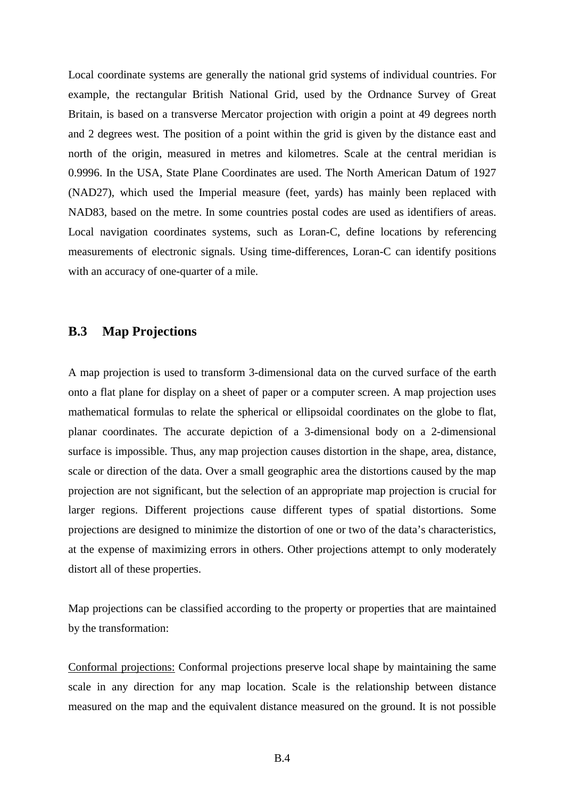Local coordinate systems are generally the national grid systems of individual countries. For example, the rectangular British National Grid, used by the Ordnance Survey of Great Britain, is based on a transverse Mercator projection with origin a point at 49 degrees north and 2 degrees west. The position of a point within the grid is given by the distance east and north of the origin, measured in metres and kilometres. Scale at the central meridian is 0.9996. In the USA, State Plane Coordinates are used. The North American Datum of 1927 (NAD27), which used the Imperial measure (feet, yards) has mainly been replaced with NAD83, based on the metre. In some countries postal codes are used as identifiers of areas. Local navigation coordinates systems, such as Loran-C, define locations by referencing measurements of electronic signals. Using time-differences, Loran-C can identify positions with an accuracy of one-quarter of a mile.

# **B.3 Map Projections**

A map projection is used to transform 3-dimensional data on the curved surface of the earth onto a flat plane for display on a sheet of paper or a computer screen. A map projection uses mathematical formulas to relate the spherical or ellipsoidal coordinates on the globe to flat, planar coordinates. The accurate depiction of a 3-dimensional body on a 2-dimensional surface is impossible. Thus, any map projection causes distortion in the shape, area, distance, scale or direction of the data. Over a small geographic area the distortions caused by the map projection are not significant, but the selection of an appropriate map projection is crucial for larger regions. Different projections cause different types of spatial distortions. Some projections are designed to minimize the distortion of one or two of the data's characteristics, at the expense of maximizing errors in others. Other projections attempt to only moderately distort all of these properties.

Map projections can be classified according to the property or properties that are maintained by the transformation:

Conformal projections: Conformal projections preserve local shape by maintaining the same scale in any direction for any map location. Scale is the relationship between distance measured on the map and the equivalent distance measured on the ground. It is not possible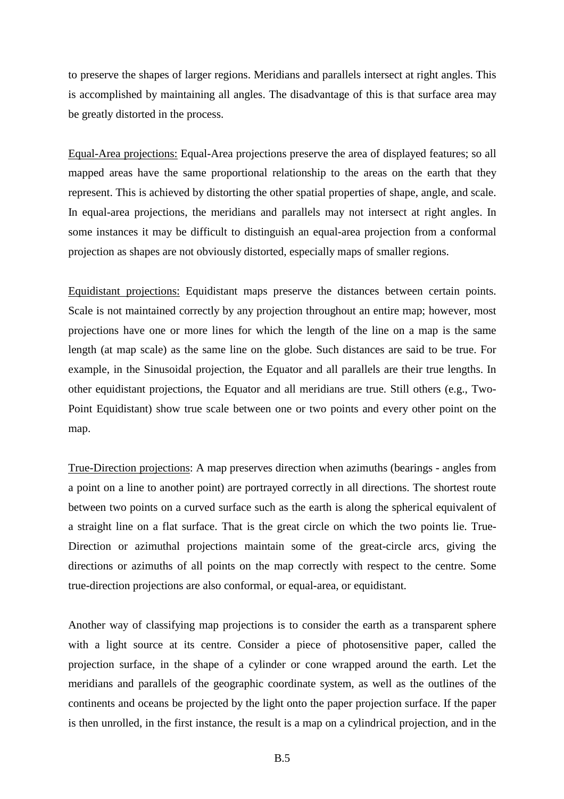to preserve the shapes of larger regions. Meridians and parallels intersect at right angles. This is accomplished by maintaining all angles. The disadvantage of this is that surface area may be greatly distorted in the process.

Equal-Area projections: Equal-Area projections preserve the area of displayed features; so all mapped areas have the same proportional relationship to the areas on the earth that they represent. This is achieved by distorting the other spatial properties of shape, angle, and scale. In equal-area projections, the meridians and parallels may not intersect at right angles. In some instances it may be difficult to distinguish an equal-area projection from a conformal projection as shapes are not obviously distorted, especially maps of smaller regions.

Equidistant projections: Equidistant maps preserve the distances between certain points. Scale is not maintained correctly by any projection throughout an entire map; however, most projections have one or more lines for which the length of the line on a map is the same length (at map scale) as the same line on the globe. Such distances are said to be true. For example, in the Sinusoidal projection, the Equator and all parallels are their true lengths. In other equidistant projections, the Equator and all meridians are true. Still others (e.g., Two-Point Equidistant) show true scale between one or two points and every other point on the map.

True-Direction projections: A map preserves direction when azimuths (bearings - angles from a point on a line to another point) are portrayed correctly in all directions. The shortest route between two points on a curved surface such as the earth is along the spherical equivalent of a straight line on a flat surface. That is the great circle on which the two points lie. True-Direction or azimuthal projections maintain some of the great-circle arcs, giving the directions or azimuths of all points on the map correctly with respect to the centre. Some true-direction projections are also conformal, or equal-area, or equidistant.

Another way of classifying map projections is to consider the earth as a transparent sphere with a light source at its centre. Consider a piece of photosensitive paper, called the projection surface, in the shape of a cylinder or cone wrapped around the earth. Let the meridians and parallels of the geographic coordinate system, as well as the outlines of the continents and oceans be projected by the light onto the paper projection surface. If the paper is then unrolled, in the first instance, the result is a map on a cylindrical projection, and in the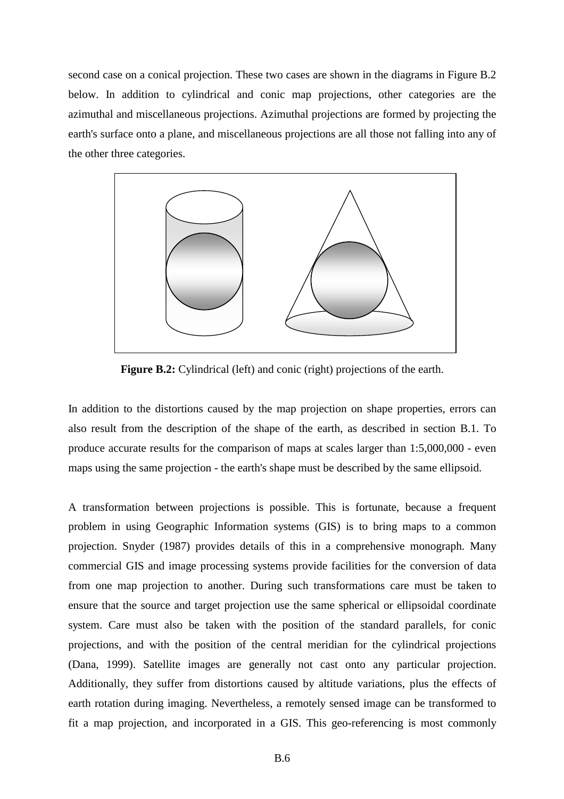second case on a conical projection. These two cases are shown in the diagrams in Figure B.2 below. In addition to cylindrical and conic map projections, other categories are the azimuthal and miscellaneous projections. Azimuthal projections are formed by projecting the earth's surface onto a plane, and miscellaneous projections are all those not falling into any of the other three categories.



**Figure B.2:** Cylindrical (left) and conic (right) projections of the earth.

In addition to the distortions caused by the map projection on shape properties, errors can also result from the description of the shape of the earth, as described in section B.1. To produce accurate results for the comparison of maps at scales larger than 1:5,000,000 - even maps using the same projection - the earth's shape must be described by the same ellipsoid.

A transformation between projections is possible. This is fortunate, because a frequent problem in using Geographic Information systems (GIS) is to bring maps to a common projection. Snyder (1987) provides details of this in a comprehensive monograph. Many commercial GIS and image processing systems provide facilities for the conversion of data from one map projection to another. During such transformations care must be taken to ensure that the source and target projection use the same spherical or ellipsoidal coordinate system. Care must also be taken with the position of the standard parallels, for conic projections, and with the position of the central meridian for the cylindrical projections (Dana, 1999). Satellite images are generally not cast onto any particular projection. Additionally, they suffer from distortions caused by altitude variations, plus the effects of earth rotation during imaging. Nevertheless, a remotely sensed image can be transformed to fit a map projection, and incorporated in a GIS. This geo-referencing is most commonly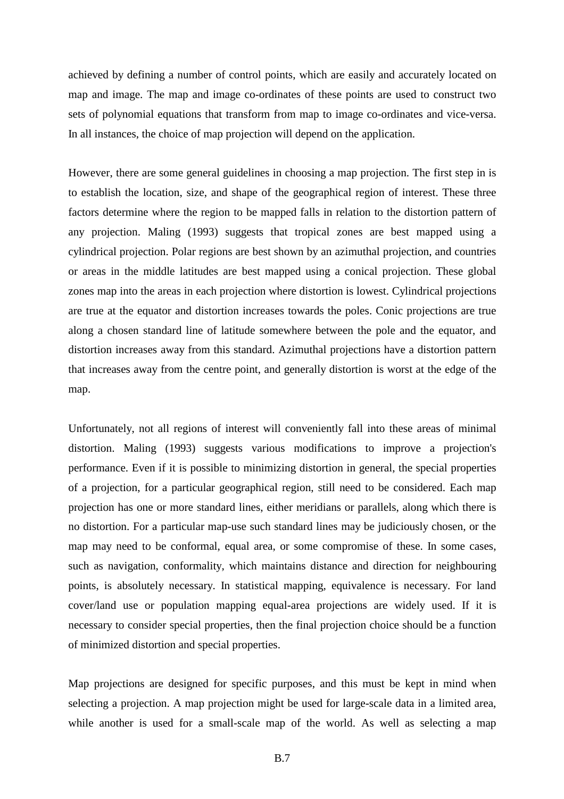achieved by defining a number of control points, which are easily and accurately located on map and image. The map and image co-ordinates of these points are used to construct two sets of polynomial equations that transform from map to image co-ordinates and vice-versa. In all instances, the choice of map projection will depend on the application.

However, there are some general guidelines in choosing a map projection. The first step in is to establish the location, size, and shape of the geographical region of interest. These three factors determine where the region to be mapped falls in relation to the distortion pattern of any projection. Maling (1993) suggests that tropical zones are best mapped using a cylindrical projection. Polar regions are best shown by an azimuthal projection, and countries or areas in the middle latitudes are best mapped using a conical projection. These global zones map into the areas in each projection where distortion is lowest. Cylindrical projections are true at the equator and distortion increases towards the poles. Conic projections are true along a chosen standard line of latitude somewhere between the pole and the equator, and distortion increases away from this standard. Azimuthal projections have a distortion pattern that increases away from the centre point, and generally distortion is worst at the edge of the map.

Unfortunately, not all regions of interest will conveniently fall into these areas of minimal distortion. Maling (1993) suggests various modifications to improve a projection's performance. Even if it is possible to minimizing distortion in general, the special properties of a projection, for a particular geographical region, still need to be considered. Each map projection has one or more standard lines, either meridians or parallels, along which there is no distortion. For a particular map-use such standard lines may be judiciously chosen, or the map may need to be conformal, equal area, or some compromise of these. In some cases, such as navigation, conformality, which maintains distance and direction for neighbouring points, is absolutely necessary. In statistical mapping, equivalence is necessary. For land cover/land use or population mapping equal-area projections are widely used. If it is necessary to consider special properties, then the final projection choice should be a function of minimized distortion and special properties.

Map projections are designed for specific purposes, and this must be kept in mind when selecting a projection. A map projection might be used for large-scale data in a limited area, while another is used for a small-scale map of the world. As well as selecting a map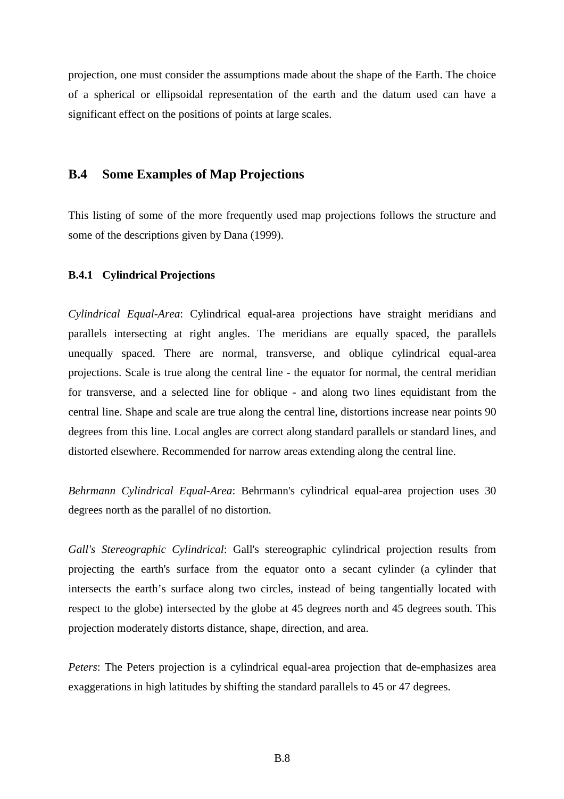projection, one must consider the assumptions made about the shape of the Earth. The choice of a spherical or ellipsoidal representation of the earth and the datum used can have a significant effect on the positions of points at large scales.

## **B.4 Some Examples of Map Projections**

This listing of some of the more frequently used map projections follows the structure and some of the descriptions given by Dana (1999).

### **B.4.1 Cylindrical Projections**

*Cylindrical Equal-Area*: Cylindrical equal-area projections have straight meridians and parallels intersecting at right angles. The meridians are equally spaced, the parallels unequally spaced. There are normal, transverse, and oblique cylindrical equal-area projections. Scale is true along the central line - the equator for normal, the central meridian for transverse, and a selected line for oblique - and along two lines equidistant from the central line. Shape and scale are true along the central line, distortions increase near points 90 degrees from this line. Local angles are correct along standard parallels or standard lines, and distorted elsewhere. Recommended for narrow areas extending along the central line.

*Behrmann Cylindrical Equal-Area*: Behrmann's cylindrical equal-area projection uses 30 degrees north as the parallel of no distortion.

*Gall's Stereographic Cylindrical*: Gall's stereographic cylindrical projection results from projecting the earth's surface from the equator onto a secant cylinder (a cylinder that intersects the earth's surface along two circles, instead of being tangentially located with respect to the globe) intersected by the globe at 45 degrees north and 45 degrees south. This projection moderately distorts distance, shape, direction, and area.

*Peters*: The Peters projection is a cylindrical equal-area projection that de-emphasizes area exaggerations in high latitudes by shifting the standard parallels to 45 or 47 degrees.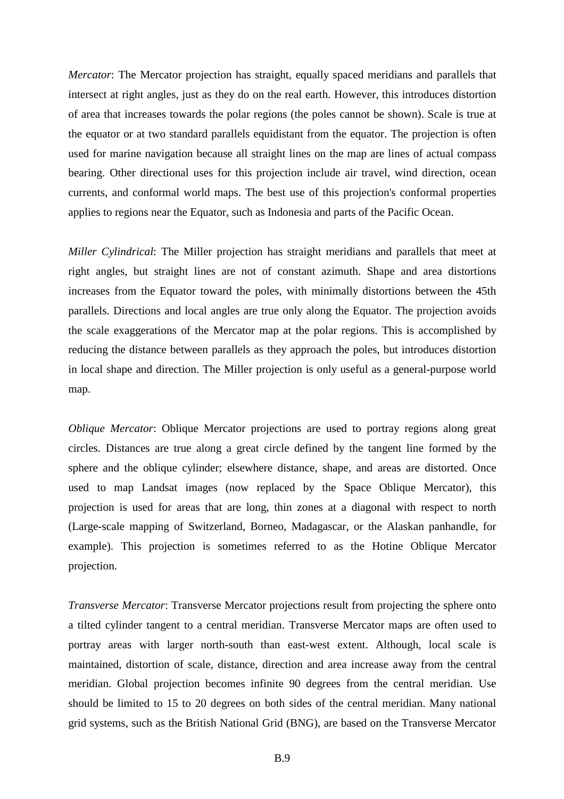*Mercator*: The Mercator projection has straight, equally spaced meridians and parallels that intersect at right angles, just as they do on the real earth. However, this introduces distortion of area that increases towards the polar regions (the poles cannot be shown). Scale is true at the equator or at two standard parallels equidistant from the equator. The projection is often used for marine navigation because all straight lines on the map are lines of actual compass bearing. Other directional uses for this projection include air travel, wind direction, ocean currents, and conformal world maps. The best use of this projection's conformal properties applies to regions near the Equator, such as Indonesia and parts of the Pacific Ocean.

*Miller Cylindrical*: The Miller projection has straight meridians and parallels that meet at right angles, but straight lines are not of constant azimuth. Shape and area distortions increases from the Equator toward the poles, with minimally distortions between the 45th parallels. Directions and local angles are true only along the Equator. The projection avoids the scale exaggerations of the Mercator map at the polar regions. This is accomplished by reducing the distance between parallels as they approach the poles, but introduces distortion in local shape and direction. The Miller projection is only useful as a general-purpose world map.

*Oblique Mercator*: Oblique Mercator projections are used to portray regions along great circles. Distances are true along a great circle defined by the tangent line formed by the sphere and the oblique cylinder; elsewhere distance, shape, and areas are distorted. Once used to map Landsat images (now replaced by the Space Oblique Mercator), this projection is used for areas that are long, thin zones at a diagonal with respect to north (Large-scale mapping of Switzerland, Borneo, Madagascar, or the Alaskan panhandle, for example). This projection is sometimes referred to as the Hotine Oblique Mercator projection.

*Transverse Mercator*: Transverse Mercator projections result from projecting the sphere onto a tilted cylinder tangent to a central meridian. Transverse Mercator maps are often used to portray areas with larger north-south than east-west extent. Although, local scale is maintained, distortion of scale, distance, direction and area increase away from the central meridian. Global projection becomes infinite 90 degrees from the central meridian. Use should be limited to 15 to 20 degrees on both sides of the central meridian. Many national grid systems, such as the British National Grid (BNG), are based on the Transverse Mercator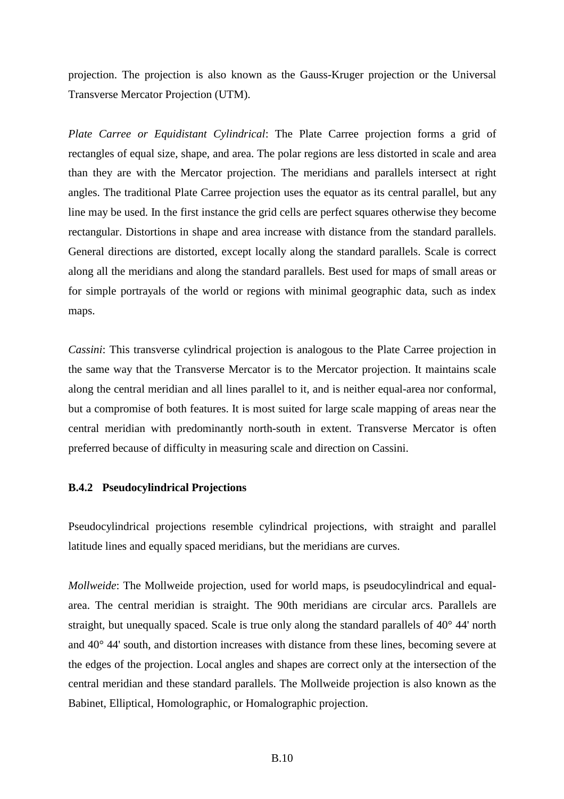projection. The projection is also known as the Gauss-Kruger projection or the Universal Transverse Mercator Projection (UTM).

*Plate Carree or Equidistant Cylindrical*: The Plate Carree projection forms a grid of rectangles of equal size, shape, and area. The polar regions are less distorted in scale and area than they are with the Mercator projection. The meridians and parallels intersect at right angles. The traditional Plate Carree projection uses the equator as its central parallel, but any line may be used. In the first instance the grid cells are perfect squares otherwise they become rectangular. Distortions in shape and area increase with distance from the standard parallels. General directions are distorted, except locally along the standard parallels. Scale is correct along all the meridians and along the standard parallels. Best used for maps of small areas or for simple portrayals of the world or regions with minimal geographic data, such as index maps.

*Cassini*: This transverse cylindrical projection is analogous to the Plate Carree projection in the same way that the Transverse Mercator is to the Mercator projection. It maintains scale along the central meridian and all lines parallel to it, and is neither equal-area nor conformal, but a compromise of both features. It is most suited for large scale mapping of areas near the central meridian with predominantly north-south in extent. Transverse Mercator is often preferred because of difficulty in measuring scale and direction on Cassini.

### **B.4.2 Pseudocylindrical Projections**

Pseudocylindrical projections resemble cylindrical projections, with straight and parallel latitude lines and equally spaced meridians, but the meridians are curves.

*Mollweide*: The Mollweide projection, used for world maps, is pseudocylindrical and equalarea. The central meridian is straight. The 90th meridians are circular arcs. Parallels are straight, but unequally spaced. Scale is true only along the standard parallels of 40° 44' north and 40° 44' south, and distortion increases with distance from these lines, becoming severe at the edges of the projection. Local angles and shapes are correct only at the intersection of the central meridian and these standard parallels. The Mollweide projection is also known as the Babinet, Elliptical, Homolographic, or Homalographic projection.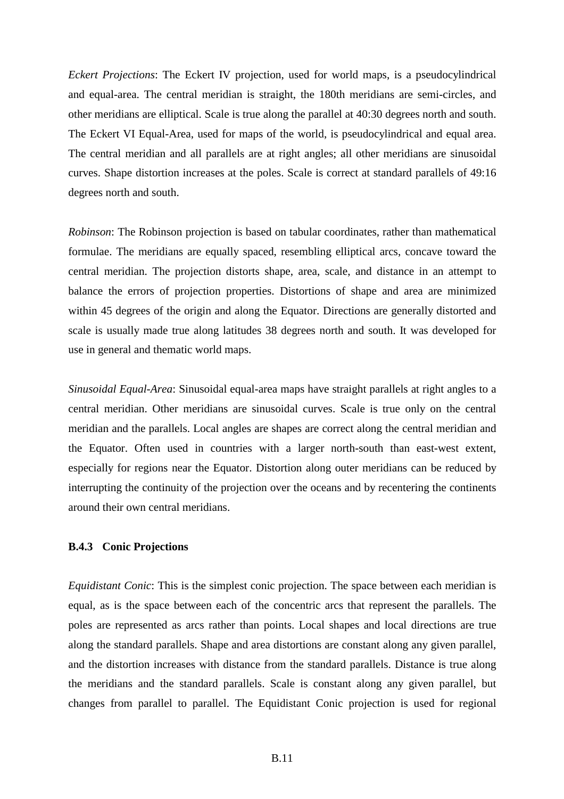*Eckert Projections*: The Eckert IV projection, used for world maps, is a pseudocylindrical and equal-area. The central meridian is straight, the 180th meridians are semi-circles, and other meridians are elliptical. Scale is true along the parallel at 40:30 degrees north and south. The Eckert VI Equal-Area, used for maps of the world, is pseudocylindrical and equal area. The central meridian and all parallels are at right angles; all other meridians are sinusoidal curves. Shape distortion increases at the poles. Scale is correct at standard parallels of 49:16 degrees north and south.

*Robinson*: The Robinson projection is based on tabular coordinates, rather than mathematical formulae. The meridians are equally spaced, resembling elliptical arcs, concave toward the central meridian. The projection distorts shape, area, scale, and distance in an attempt to balance the errors of projection properties. Distortions of shape and area are minimized within 45 degrees of the origin and along the Equator. Directions are generally distorted and scale is usually made true along latitudes 38 degrees north and south. It was developed for use in general and thematic world maps.

*Sinusoidal Equal-Area*: Sinusoidal equal-area maps have straight parallels at right angles to a central meridian. Other meridians are sinusoidal curves. Scale is true only on the central meridian and the parallels. Local angles are shapes are correct along the central meridian and the Equator. Often used in countries with a larger north-south than east-west extent, especially for regions near the Equator. Distortion along outer meridians can be reduced by interrupting the continuity of the projection over the oceans and by recentering the continents around their own central meridians.

#### **B.4.3 Conic Projections**

*Equidistant Conic*: This is the simplest conic projection. The space between each meridian is equal, as is the space between each of the concentric arcs that represent the parallels. The poles are represented as arcs rather than points. Local shapes and local directions are true along the standard parallels. Shape and area distortions are constant along any given parallel, and the distortion increases with distance from the standard parallels. Distance is true along the meridians and the standard parallels. Scale is constant along any given parallel, but changes from parallel to parallel. The Equidistant Conic projection is used for regional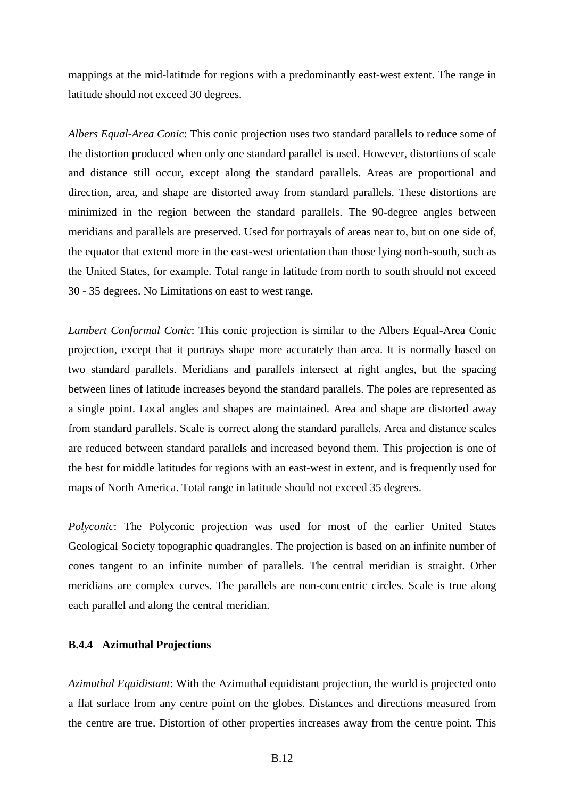mappings at the mid-latitude for regions with a predominantly east-west extent. The range in latitude should not exceed 30 degrees.

*Albers Equal-Area Conic*: This conic projection uses two standard parallels to reduce some of the distortion produced when only one standard parallel is used. However, distortions of scale and distance still occur, except along the standard parallels. Areas are proportional and direction, area, and shape are distorted away from standard parallels. These distortions are minimized in the region between the standard parallels. The 90-degree angles between meridians and parallels are preserved. Used for portrayals of areas near to, but on one side of, the equator that extend more in the east-west orientation than those lying north-south, such as the United States, for example. Total range in latitude from north to south should not exceed 30 - 35 degrees. No Limitations on east to west range.

*Lambert Conformal Conic*: This conic projection is similar to the Albers Equal-Area Conic projection, except that it portrays shape more accurately than area. It is normally based on two standard parallels. Meridians and parallels intersect at right angles, but the spacing between lines of latitude increases beyond the standard parallels. The poles are represented as a single point. Local angles and shapes are maintained. Area and shape are distorted away from standard parallels. Scale is correct along the standard parallels. Area and distance scales are reduced between standard parallels and increased beyond them. This projection is one of the best for middle latitudes for regions with an east-west in extent, and is frequently used for maps of North America. Total range in latitude should not exceed 35 degrees.

*Polyconic*: The Polyconic projection was used for most of the earlier United States Geological Society topographic quadrangles. The projection is based on an infinite number of cones tangent to an infinite number of parallels. The central meridian is straight. Other meridians are complex curves. The parallels are non-concentric circles. Scale is true along each parallel and along the central meridian.

#### **B.4.4 Azimuthal Projections**

*Azimuthal Equidistant*: With the Azimuthal equidistant projection, the world is projected onto a flat surface from any centre point on the globes. Distances and directions measured from the centre are true. Distortion of other properties increases away from the centre point. This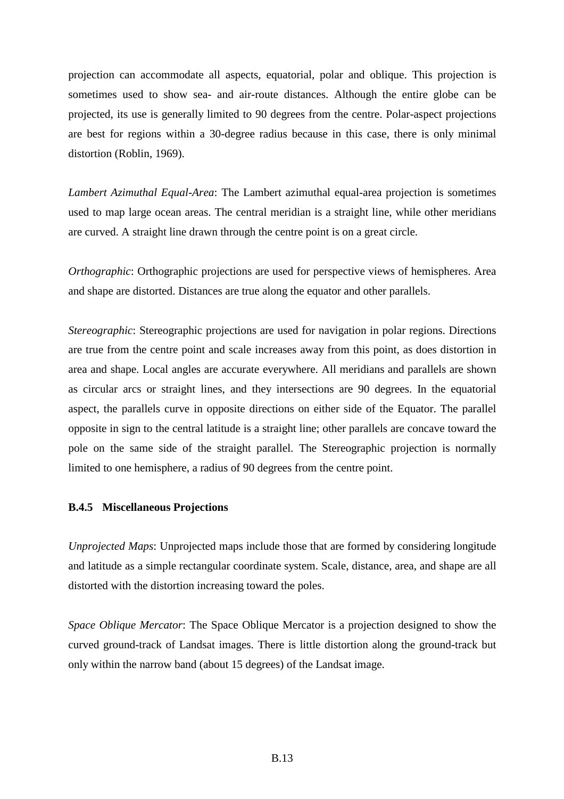projection can accommodate all aspects, equatorial, polar and oblique. This projection is sometimes used to show sea- and air-route distances. Although the entire globe can be projected, its use is generally limited to 90 degrees from the centre. Polar-aspect projections are best for regions within a 30-degree radius because in this case, there is only minimal distortion (Roblin, 1969).

*Lambert Azimuthal Equal-Area*: The Lambert azimuthal equal-area projection is sometimes used to map large ocean areas. The central meridian is a straight line, while other meridians are curved. A straight line drawn through the centre point is on a great circle.

*Orthographic*: Orthographic projections are used for perspective views of hemispheres. Area and shape are distorted. Distances are true along the equator and other parallels.

*Stereographic*: Stereographic projections are used for navigation in polar regions. Directions are true from the centre point and scale increases away from this point, as does distortion in area and shape. Local angles are accurate everywhere. All meridians and parallels are shown as circular arcs or straight lines, and they intersections are 90 degrees. In the equatorial aspect, the parallels curve in opposite directions on either side of the Equator. The parallel opposite in sign to the central latitude is a straight line; other parallels are concave toward the pole on the same side of the straight parallel. The Stereographic projection is normally limited to one hemisphere, a radius of 90 degrees from the centre point.

#### **B.4.5 Miscellaneous Projections**

*Unprojected Maps*: Unprojected maps include those that are formed by considering longitude and latitude as a simple rectangular coordinate system. Scale, distance, area, and shape are all distorted with the distortion increasing toward the poles.

*Space Oblique Mercator*: The Space Oblique Mercator is a projection designed to show the curved ground-track of Landsat images. There is little distortion along the ground-track but only within the narrow band (about 15 degrees) of the Landsat image.